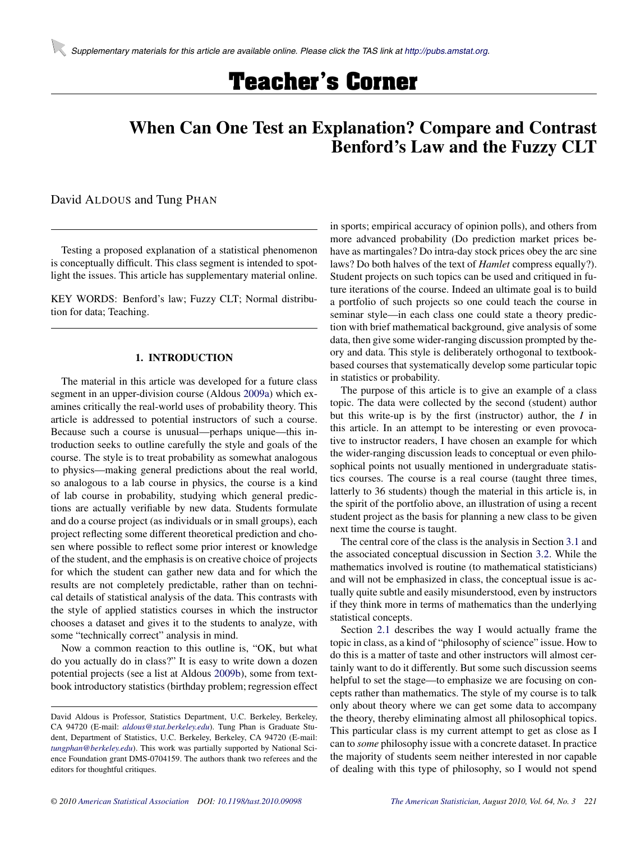# **Teacher's Corner**

# <span id="page-0-0"></span>**When Can One Test an Explanation? Compare and Contrast Benford's Law and the Fuzzy CLT**

David ALDOUS and Tung PHAN

Testing a proposed explanation of a statistical phenomenon is conceptually difficult. This class segment is intended to spotlight the issues. This article has supplementary material online.

KEY WORDS: Benford's law; Fuzzy CLT; Normal distribution for data; Teaching.

#### **1. INTRODUCTION**

The material in this article was developed for a future class segment in an upper-division course (Aldous [2009a\)](#page-6-0) which examines critically the real-world uses of probability theory. This article is addressed to potential instructors of such a course. Because such a course is unusual—perhaps unique—this introduction seeks to outline carefully the style and goals of the course. The style is to treat probability as somewhat analogous to physics—making general predictions about the real world, so analogous to a lab course in physics, the course is a kind of lab course in probability, studying which general predictions are actually verifiable by new data. Students formulate and do a course project (as individuals or in small groups), each project reflecting some different theoretical prediction and chosen where possible to reflect some prior interest or knowledge of the student, and the emphasis is on creative choice of projects for which the student can gather new data and for which the results are not completely predictable, rather than on technical details of statistical analysis of the data. This contrasts with the style of applied statistics courses in which the instructor chooses a dataset and gives it to the students to analyze, with some "technically correct" analysis in mind.

Now a common reaction to this outline is, "OK, but what do you actually do in class?" It is easy to write down a dozen potential projects (see a list at Aldous [2009b\)](#page-6-0), some from textbook introductory statistics (birthday problem; regression effect in sports; empirical accuracy of opinion polls), and others from more advanced probability (Do prediction market prices behave as martingales? Do intra-day stock prices obey the arc sine laws? Do both halves of the text of *Hamlet* compress equally?). Student projects on such topics can be used and critiqued in future iterations of the course. Indeed an ultimate goal is to build a portfolio of such projects so one could teach the course in seminar style—in each class one could state a theory prediction with brief mathematical background, give analysis of some data, then give some wider-ranging discussion prompted by theory and data. This style is deliberately orthogonal to textbookbased courses that systematically develop some particular topic in statistics or probability.

The purpose of this article is to give an example of a class topic. The data were collected by the second (student) author but this write-up is by the first (instructor) author, the *I* in this article. In an attempt to be interesting or even provocative to instructor readers, I have chosen an example for which the wider-ranging discussion leads to conceptual or even philosophical points not usually mentioned in undergraduate statistics courses. The course is a real course (taught three times, latterly to 36 students) though the material in this article is, in the spirit of the portfolio above, an illustration of using a recent student project as the basis for planning a new class to be given next time the course is taught.

The central core of the class is the analysis in Section [3.1](#page-2-0) and the associated conceptual discussion in Section [3.2.](#page-3-0) While the mathematics involved is routine (to mathematical statisticians) and will not be emphasized in class, the conceptual issue is actually quite subtle and easily misunderstood, even by instructors if they think more in terms of mathematics than the underlying statistical concepts.

Section [2.1](#page-1-0) describes the way I would actually frame the topic in class, as a kind of "philosophy of science" issue. How to do this is a matter of taste and other instructors will almost certainly want to do it differently. But some such discussion seems helpful to set the stage—to emphasize we are focusing on concepts rather than mathematics. The style of my course is to talk only about theory where we can get some data to accompany the theory, thereby eliminating almost all philosophical topics. This particular class is my current attempt to get as close as I can to *some* philosophy issue with a concrete dataset. In practice the majority of students seem neither interested in nor capable of dealing with this type of philosophy, so I would not spend

David Aldous is Professor, Statistics Department, U.C. Berkeley, Berkeley, CA 94720 (E-mail: *[aldous@stat.berkeley.edu](mailto:aldous@stat.berkeley.edu)*). Tung Phan is Graduate Student, Department of Statistics, U.C. Berkeley, Berkeley, CA 94720 (E-mail: *[tungphan@berkeley.edu](mailto:tungphan@berkeley.edu)*). This work was partially supported by National Science Foundation grant DMS-0704159. The authors thank two referees and the editors for thoughtful critiques.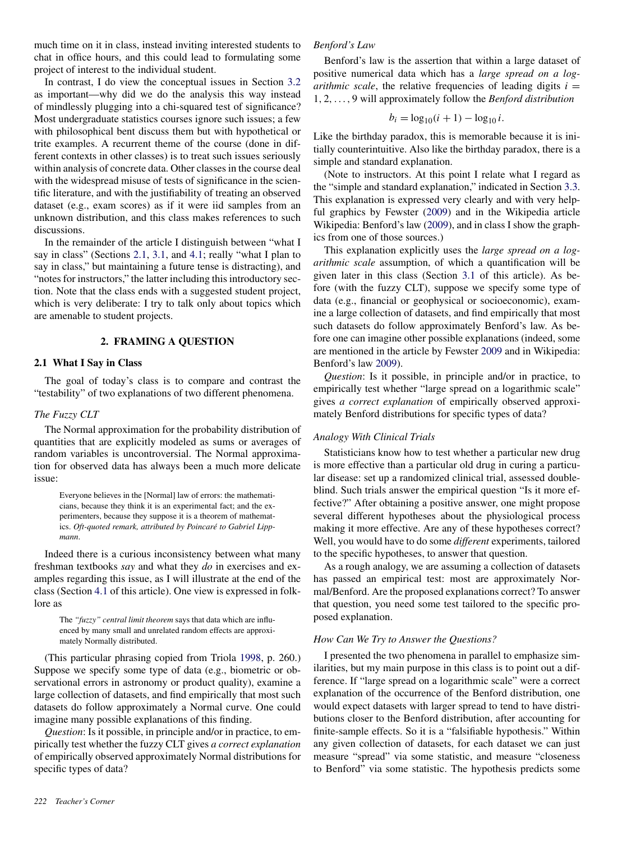<span id="page-1-0"></span>much time on it in class, instead inviting interested students to chat in office hours, and this could lead to formulating some project of interest to the individual student.

In contrast, I do view the conceptual issues in Section [3.2](#page-3-0) as important—why did we do the analysis this way instead of mindlessly plugging into a chi-squared test of significance? Most undergraduate statistics courses ignore such issues; a few with philosophical bent discuss them but with hypothetical or trite examples. A recurrent theme of the course (done in different contexts in other classes) is to treat such issues seriously within analysis of concrete data. Other classes in the course deal with the widespread misuse of tests of significance in the scientific literature, and with the justifiability of treating an observed dataset (e.g., exam scores) as if it were iid samples from an unknown distribution, and this class makes references to such discussions.

In the remainder of the article I distinguish between "what I say in class" (Sections 2.1, [3.1,](#page-2-0) and [4.1;](#page-4-0) really "what I plan to say in class," but maintaining a future tense is distracting), and "notes for instructors," the latter including this introductory section. Note that the class ends with a suggested student project, which is very deliberate: I try to talk only about topics which are amenable to student projects.

## **2. FRAMING A QUESTION**

#### **2.1 What I Say in Class**

The goal of today's class is to compare and contrast the "testability" of two explanations of two different phenomena.

# *The Fuzzy CLT*

The Normal approximation for the probability distribution of quantities that are explicitly modeled as sums or averages of random variables is uncontroversial. The Normal approximation for observed data has always been a much more delicate issue:

Everyone believes in the [Normal] law of errors: the mathematicians, because they think it is an experimental fact; and the experimenters, because they suppose it is a theorem of mathematics. *Oft-quoted remark, attributed by Poincaré to Gabriel Lippmann*.

Indeed there is a curious inconsistency between what many freshman textbooks *say* and what they *do* in exercises and examples regarding this issue, as I will illustrate at the end of the class (Section [4.1](#page-4-0) of this article). One view is expressed in folklore as

The *"fuzzy" central limit theorem* says that data which are influenced by many small and unrelated random effects are approximately Normally distributed.

(This particular phrasing copied from Triola [1998,](#page-6-0) p. 260.) Suppose we specify some type of data (e.g., biometric or observational errors in astronomy or product quality), examine a large collection of datasets, and find empirically that most such datasets do follow approximately a Normal curve. One could imagine many possible explanations of this finding.

*Question*: Is it possible, in principle and/or in practice, to empirically test whether the fuzzy CLT gives *a correct explanation* of empirically observed approximately Normal distributions for specific types of data?

Benford's law is the assertion that within a large dataset of positive numerical data which has a *large spread on a logarithmic scale*, the relative frequencies of leading digits  $i =$ 1*,* 2*,...,* 9 will approximately follow the *Benford distribution*

$$
b_i = \log_{10}(i + 1) - \log_{10} i.
$$

Like the birthday paradox, this is memorable because it is initially counterintuitive. Also like the birthday paradox, there is a simple and standard explanation.

(Note to instructors. At this point I relate what I regard as the "simple and standard explanation," indicated in Section [3.3.](#page-4-0) This explanation is expressed very clearly and with very helpful graphics by Fewster [\(2009\)](#page-6-0) and in the Wikipedia article Wikipedia: Benford's law [\(2009\)](#page-6-0), and in class I show the graphics from one of those sources.)

This explanation explicitly uses the *large spread on a logarithmic scale* assumption, of which a quantification will be given later in this class (Section [3.1](#page-2-0) of this article). As before (with the fuzzy CLT), suppose we specify some type of data (e.g., financial or geophysical or socioeconomic), examine a large collection of datasets, and find empirically that most such datasets do follow approximately Benford's law. As before one can imagine other possible explanations (indeed, some are mentioned in the article by Fewster [2009](#page-6-0) and in Wikipedia: Benford's law [2009\)](#page-6-0).

*Question*: Is it possible, in principle and/or in practice, to empirically test whether "large spread on a logarithmic scale" gives *a correct explanation* of empirically observed approximately Benford distributions for specific types of data?

#### *Analogy With Clinical Trials*

Statisticians know how to test whether a particular new drug is more effective than a particular old drug in curing a particular disease: set up a randomized clinical trial, assessed doubleblind. Such trials answer the empirical question "Is it more effective?" After obtaining a positive answer, one might propose several different hypotheses about the physiological process making it more effective. Are any of these hypotheses correct? Well, you would have to do some *different* experiments, tailored to the specific hypotheses, to answer that question.

As a rough analogy, we are assuming a collection of datasets has passed an empirical test: most are approximately Normal/Benford. Are the proposed explanations correct? To answer that question, you need some test tailored to the specific proposed explanation.

#### *How Can We Try to Answer the Questions?*

I presented the two phenomena in parallel to emphasize similarities, but my main purpose in this class is to point out a difference. If "large spread on a logarithmic scale" were a correct explanation of the occurrence of the Benford distribution, one would expect datasets with larger spread to tend to have distributions closer to the Benford distribution, after accounting for finite-sample effects. So it is a "falsifiable hypothesis." Within any given collection of datasets, for each dataset we can just measure "spread" via some statistic, and measure "closeness to Benford" via some statistic. The hypothesis predicts some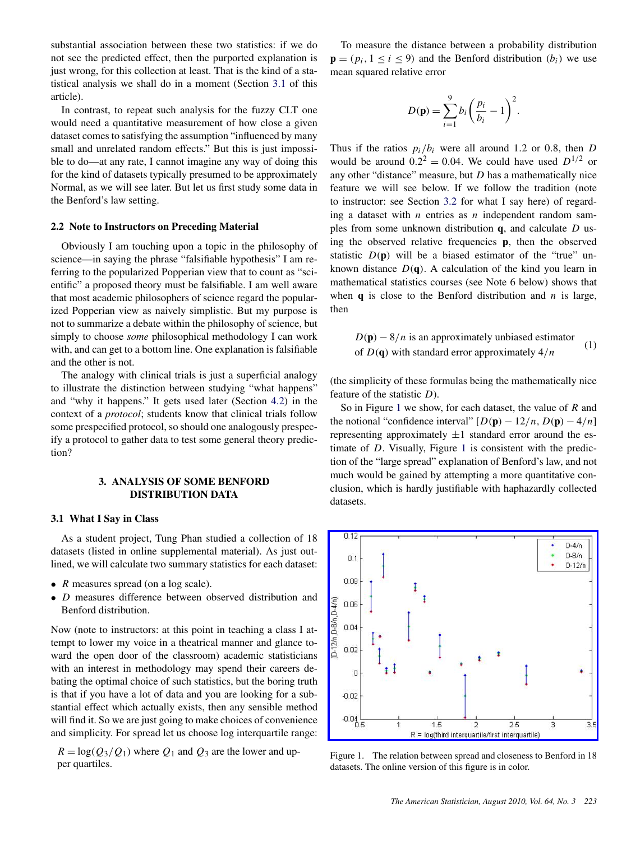<span id="page-2-0"></span>substantial association between these two statistics: if we do not see the predicted effect, then the purported explanation is just wrong, for this collection at least. That is the kind of a statistical analysis we shall do in a moment (Section 3.1 of this article).

In contrast, to repeat such analysis for the fuzzy CLT one would need a quantitative measurement of how close a given dataset comes to satisfying the assumption "influenced by many small and unrelated random effects." But this is just impossible to do—at any rate, I cannot imagine any way of doing this for the kind of datasets typically presumed to be approximately Normal, as we will see later. But let us first study some data in the Benford's law setting.

#### **2.2 Note to Instructors on Preceding Material**

Obviously I am touching upon a topic in the philosophy of science—in saying the phrase "falsifiable hypothesis" I am referring to the popularized Popperian view that to count as "scientific" a proposed theory must be falsifiable. I am well aware that most academic philosophers of science regard the popularized Popperian view as naively simplistic. But my purpose is not to summarize a debate within the philosophy of science, but simply to choose *some* philosophical methodology I can work with, and can get to a bottom line. One explanation is falsifiable and the other is not.

The analogy with clinical trials is just a superficial analogy to illustrate the distinction between studying "what happens" and "why it happens." It gets used later (Section [4.2\)](#page-5-0) in the context of a *protocol*; students know that clinical trials follow some prespecified protocol, so should one analogously prespecify a protocol to gather data to test some general theory prediction?

## **3. ANALYSIS OF SOME BENFORD DISTRIBUTION DATA**

#### **3.1 What I Say in Class**

As a student project, Tung Phan studied a collection of 18 datasets (listed in online supplemental material). As just outlined, we will calculate two summary statistics for each dataset:

- *R* measures spread (on a log scale).
- *D* measures difference between observed distribution and Benford distribution.

Now (note to instructors: at this point in teaching a class I attempt to lower my voice in a theatrical manner and glance toward the open door of the classroom) academic statisticians with an interest in methodology may spend their careers debating the optimal choice of such statistics, but the boring truth is that if you have a lot of data and you are looking for a substantial effect which actually exists, then any sensible method will find it. So we are just going to make choices of convenience and simplicity. For spread let us choose log interquartile range:

 $R = \log(Q_3/Q_1)$  where  $Q_1$  and  $Q_3$  are the lower and upper quartiles.

To measure the distance between a probability distribution  $\mathbf{p} = (p_i, 1 \leq i \leq 9)$  and the Benford distribution  $(b_i)$  we use mean squared relative error

$$
D(\mathbf{p}) = \sum_{i=1}^{9} b_i \left(\frac{p_i}{b_i} - 1\right)^2.
$$

Thus if the ratios  $p_i/b_i$  were all around 1.2 or 0.8, then *D* would be around  $0.2^2 = 0.04$ . We could have used  $D^{1/2}$  or any other "distance" measure, but *D* has a mathematically nice feature we will see below. If we follow the tradition (note to instructor: see Section [3.2](#page-3-0) for what I say here) of regarding a dataset with *n* entries as *n* independent random samples from some unknown distribution **q**, and calculate *D* using the observed relative frequencies **p**, then the observed statistic  $D(\mathbf{p})$  will be a biased estimator of the "true" unknown distance  $D(q)$ . A calculation of the kind you learn in mathematical statistics courses (see Note 6 below) shows that when **q** is close to the Benford distribution and *n* is large, then

$$
D(\mathbf{p}) - 8/n
$$
 is an approximately unbiased estimator  
of  $D(\mathbf{q})$  with standard error approximately  $4/n$  (1)

(the simplicity of these formulas being the mathematically nice feature of the statistic *D*).

So in Figure 1 we show, for each dataset, the value of *R* and the notional "confidence interval"  $[D(\mathbf{p}) - 12/n, D(\mathbf{p}) - 4/n]$ representing approximately  $\pm 1$  standard error around the estimate of *D*. Visually, Figure 1 is consistent with the prediction of the "large spread" explanation of Benford's law, and not much would be gained by attempting a more quantitative conclusion, which is hardly justifiable with haphazardly collected datasets.



Figure 1. The relation between spread and closeness to Benford in 18 datasets. The online version of this figure is in color.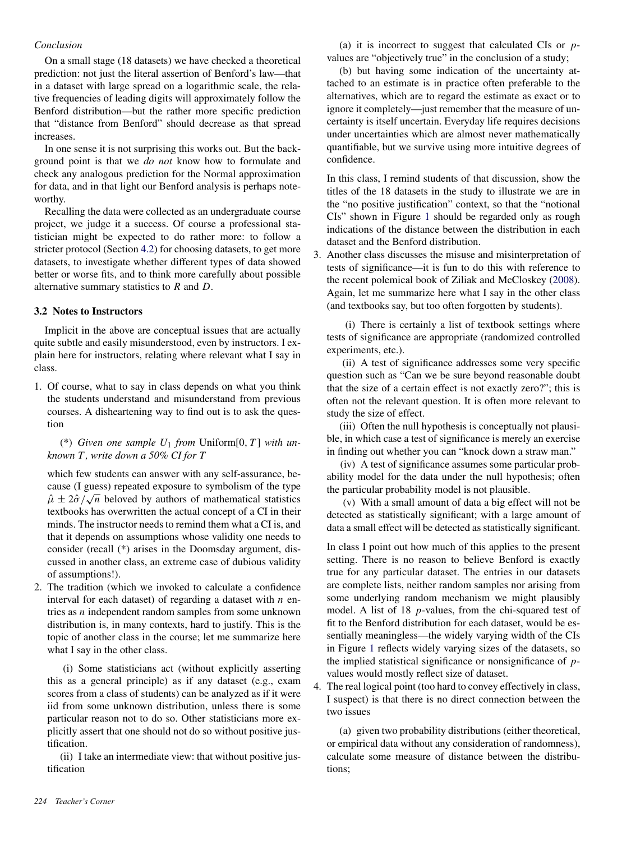## <span id="page-3-0"></span>*Conclusion*

On a small stage (18 datasets) we have checked a theoretical prediction: not just the literal assertion of Benford's law—that in a dataset with large spread on a logarithmic scale, the relative frequencies of leading digits will approximately follow the Benford distribution—but the rather more specific prediction that "distance from Benford" should decrease as that spread increases.

In one sense it is not surprising this works out. But the background point is that we *do not* know how to formulate and check any analogous prediction for the Normal approximation for data, and in that light our Benford analysis is perhaps noteworthy.

Recalling the data were collected as an undergraduate course project, we judge it a success. Of course a professional statistician might be expected to do rather more: to follow a stricter protocol (Section [4.2\)](#page-5-0) for choosing datasets, to get more datasets, to investigate whether different types of data showed better or worse fits, and to think more carefully about possible alternative summary statistics to *R* and *D*.

#### **3.2 Notes to Instructors**

Implicit in the above are conceptual issues that are actually quite subtle and easily misunderstood, even by instructors. I explain here for instructors, relating where relevant what I say in class.

1. Of course, what to say in class depends on what you think the students understand and misunderstand from previous courses. A disheartening way to find out is to ask the question

(\*) *Given one sample*  $U_1$  *from* Uniform[0, T] *with unknown T , write down a 50% CI for T*

which few students can answer with any self-assurance, because (I guess) repeated exposure to symbolism of the type  $\hat{\mu} \pm 2\hat{\sigma}/\sqrt{n}$  beloved by authors of mathematical statistics textbooks has overwritten the actual concept of a CI in their minds. The instructor needs to remind them what a CI is, and that it depends on assumptions whose validity one needs to consider (recall (\*) arises in the Doomsday argument, discussed in another class, an extreme case of dubious validity of assumptions!).

2. The tradition (which we invoked to calculate a confidence interval for each dataset) of regarding a dataset with *n* entries as *n* independent random samples from some unknown distribution is, in many contexts, hard to justify. This is the topic of another class in the course; let me summarize here what I say in the other class.

(i) Some statisticians act (without explicitly asserting this as a general principle) as if any dataset (e.g., exam scores from a class of students) can be analyzed as if it were iid from some unknown distribution, unless there is some particular reason not to do so. Other statisticians more explicitly assert that one should not do so without positive justification.

(ii) I take an intermediate view: that without positive justification

(a) it is incorrect to suggest that calculated CIs or *p*values are "objectively true" in the conclusion of a study;

(b) but having some indication of the uncertainty attached to an estimate is in practice often preferable to the alternatives, which are to regard the estimate as exact or to ignore it completely—just remember that the measure of uncertainty is itself uncertain. Everyday life requires decisions under uncertainties which are almost never mathematically quantifiable, but we survive using more intuitive degrees of confidence.

In this class, I remind students of that discussion, show the titles of the 18 datasets in the study to illustrate we are in the "no positive justification" context, so that the "notional CIs" shown in Figure [1](#page-2-0) should be regarded only as rough indications of the distance between the distribution in each dataset and the Benford distribution.

3. Another class discusses the misuse and misinterpretation of tests of significance—it is fun to do this with reference to the recent polemical book of Ziliak and McCloskey [\(2008\)](#page-6-0). Again, let me summarize here what I say in the other class (and textbooks say, but too often forgotten by students).

(i) There is certainly a list of textbook settings where tests of significance are appropriate (randomized controlled experiments, etc.).

(ii) A test of significance addresses some very specific question such as "Can we be sure beyond reasonable doubt that the size of a certain effect is not exactly zero?"; this is often not the relevant question. It is often more relevant to study the size of effect.

(iii) Often the null hypothesis is conceptually not plausible, in which case a test of significance is merely an exercise in finding out whether you can "knock down a straw man."

(iv) A test of significance assumes some particular probability model for the data under the null hypothesis; often the particular probability model is not plausible.

(v) With a small amount of data a big effect will not be detected as statistically significant; with a large amount of data a small effect will be detected as statistically significant.

In class I point out how much of this applies to the present setting. There is no reason to believe Benford is exactly true for any particular dataset. The entries in our datasets are complete lists, neither random samples nor arising from some underlying random mechanism we might plausibly model. A list of 18 *p*-values, from the chi-squared test of fit to the Benford distribution for each dataset, would be essentially meaningless—the widely varying width of the CIs in Figure [1](#page-2-0) reflects widely varying sizes of the datasets, so the implied statistical significance or nonsignificance of *p*values would mostly reflect size of dataset.

4. The real logical point (too hard to convey effectively in class, I suspect) is that there is no direct connection between the two issues

(a) given two probability distributions (either theoretical, or empirical data without any consideration of randomness), calculate some measure of distance between the distributions;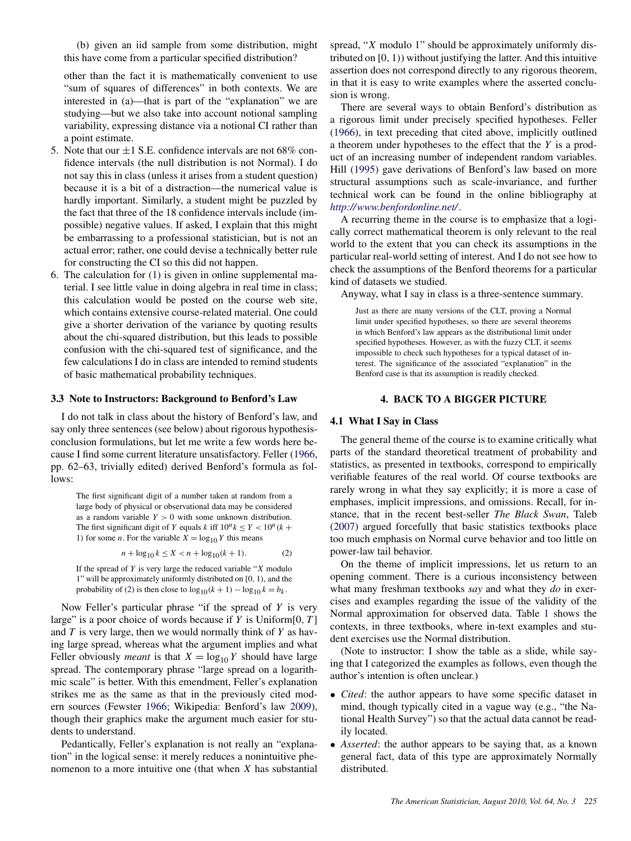<span id="page-4-0"></span>(b) given an iid sample from some distribution, might this have come from a particular specified distribution?

other than the fact it is mathematically convenient to use "sum of squares of differences" in both contexts. We are interested in (a)—that is part of the "explanation" we are studying—but we also take into account notional sampling variability, expressing distance via a notional CI rather than a point estimate.

- 5. Note that our  $\pm 1$  S.E. confidence intervals are not 68% confidence intervals (the null distribution is not Normal). I do not say this in class (unless it arises from a student question) because it is a bit of a distraction—the numerical value is hardly important. Similarly, a student might be puzzled by the fact that three of the 18 confidence intervals include (impossible) negative values. If asked, I explain that this might be embarrassing to a professional statistician, but is not an actual error; rather, one could devise a technically better rule for constructing the CI so this did not happen.
- 6. The calculation for [\(1\)](#page-2-0) is given in online supplemental material. I see little value in doing algebra in real time in class; this calculation would be posted on the course web site, which contains extensive course-related material. One could give a shorter derivation of the variance by quoting results about the chi-squared distribution, but this leads to possible confusion with the chi-squared test of significance, and the few calculations I do in class are intended to remind students of basic mathematical probability techniques.

#### **3.3 Note to Instructors: Background to Benford's Law**

I do not talk in class about the history of Benford's law, and say only three sentences (see below) about rigorous hypothesisconclusion formulations, but let me write a few words here because I find some current literature unsatisfactory. Feller [\(1966,](#page-6-0) pp. 62–63, trivially edited) derived Benford's formula as follows:

The first significant digit of a number taken at random from a large body of physical or observational data may be considered as a random variable *Y >* 0 with some unknown distribution. The first significant digit of *Y* equals *k* iff  $10^n k \le Y < 10^n (k +$ 1) for some *n*. For the variable  $X = \log_{10} Y$  this means

$$
n + \log_{10} k \le X < n + \log_{10}(k+1). \tag{2}
$$

If the spread of *Y* is very large the reduced variable "*X* modulo 1" will be approximately uniformly distributed on [0*,* 1*)*, and the probability of (2) is then close to  $\log_{10}(k + 1) - \log_{10} k = b_k$ .

Now Feller's particular phrase "if the spread of *Y* is very large" is a poor choice of words because if *Y* is Uniform[0*,T* ] and *T* is very large, then we would normally think of *Y* as having large spread, whereas what the argument implies and what Feller obviously *meant* is that  $X = \log_{10} Y$  should have large spread. The contemporary phrase "large spread on a logarithmic scale" is better. With this emendment, Feller's explanation strikes me as the same as that in the previously cited modern sources (Fewster [1966;](#page-6-0) Wikipedia: Benford's law [2009\)](#page-6-0), though their graphics make the argument much easier for students to understand.

Pedantically, Feller's explanation is not really an "explanation" in the logical sense: it merely reduces a nonintuitive phenomenon to a more intuitive one (that when *X* has substantial spread, "*X* modulo 1" should be approximately uniformly distributed on [0*,* 1*)*) without justifying the latter. And this intuitive assertion does not correspond directly to any rigorous theorem, in that it is easy to write examples where the asserted conclusion is wrong.

There are several ways to obtain Benford's distribution as a rigorous limit under precisely specified hypotheses. Feller [\(1966\)](#page-6-0), in text preceding that cited above, implicitly outlined a theorem under hypotheses to the effect that the *Y* is a product of an increasing number of independent random variables. Hill [\(1995\)](#page-6-0) gave derivations of Benford's law based on more structural assumptions such as scale-invariance, and further technical work can be found in the online bibliography at *<http://www.benfordonline.net/>*.

A recurring theme in the course is to emphasize that a logically correct mathematical theorem is only relevant to the real world to the extent that you can check its assumptions in the particular real-world setting of interest. And I do not see how to check the assumptions of the Benford theorems for a particular kind of datasets we studied.

Anyway, what I say in class is a three-sentence summary.

Just as there are many versions of the CLT, proving a Normal limit under specified hypotheses, so there are several theorems in which Benford's law appears as the distributional limit under specified hypotheses. However, as with the fuzzy CLT, it seems impossible to check such hypotheses for a typical dataset of interest. The significance of the associated "explanation" in the Benford case is that its assumption is readily checked.

#### **4. BACK TO A BIGGER PICTURE**

# **4.1 What I Say in Class**

The general theme of the course is to examine critically what parts of the standard theoretical treatment of probability and statistics, as presented in textbooks, correspond to empirically verifiable features of the real world. Of course textbooks are rarely wrong in what they say explicitly; it is more a case of emphases, implicit impressions, and omissions. Recall, for instance, that in the recent best-seller *The Black Swan*, Taleb [\(2007\)](#page-6-0) argued forcefully that basic statistics textbooks place too much emphasis on Normal curve behavior and too little on power-law tail behavior.

On the theme of implicit impressions, let us return to an opening comment. There is a curious inconsistency between what many freshman textbooks *say* and what they *do* in exercises and examples regarding the issue of the validity of the Normal approximation for observed data. Table [1](#page-5-0) shows the contexts, in three textbooks, where in-text examples and student exercises use the Normal distribution.

(Note to instructor: I show the table as a slide, while saying that I categorized the examples as follows, even though the author's intention is often unclear.)

- *Cited*: the author appears to have some specific dataset in mind, though typically cited in a vague way (e.g., "the National Health Survey") so that the actual data cannot be readily located.
- *Asserted*: the author appears to be saying that, as a known general fact, data of this type are approximately Normally distributed.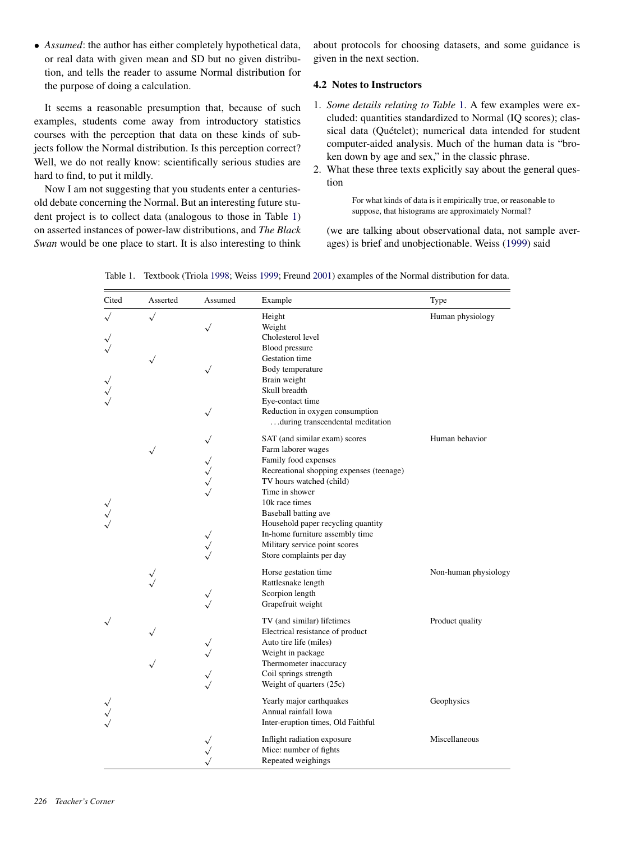<span id="page-5-0"></span>• *Assumed*: the author has either completely hypothetical data, or real data with given mean and SD but no given distribution, and tells the reader to assume Normal distribution for the purpose of doing a calculation.

It seems a reasonable presumption that, because of such examples, students come away from introductory statistics courses with the perception that data on these kinds of subjects follow the Normal distribution. Is this perception correct? Well, we do not really know: scientifically serious studies are hard to find, to put it mildly.

Now I am not suggesting that you students enter a centuriesold debate concerning the Normal. But an interesting future student project is to collect data (analogous to those in Table 1) on asserted instances of power-law distributions, and *The Black Swan* would be one place to start. It is also interesting to think about protocols for choosing datasets, and some guidance is given in the next section.

# **4.2 Notes to Instructors**

- 1. *Some details relating to Table* 1. A few examples were excluded: quantities standardized to Normal (IQ scores); classical data (Quételet); numerical data intended for student computer-aided analysis. Much of the human data is "broken down by age and sex," in the classic phrase.
- 2. What these three texts explicitly say about the general question

For what kinds of data is it empirically true, or reasonable to suppose, that histograms are approximately Normal?

(we are talking about observational data, not sample averages) is brief and unobjectionable. Weiss [\(1999\)](#page-6-0) said

| Cited                                     | Asserted                  | Assumed      | Example                                                                                                                                                                                                                                                                                                                                               | Type                 |
|-------------------------------------------|---------------------------|--------------|-------------------------------------------------------------------------------------------------------------------------------------------------------------------------------------------------------------------------------------------------------------------------------------------------------------------------------------------------------|----------------------|
| $\sqrt{}$<br>$\checkmark$<br>$\sqrt{ }$   | $\sqrt{}$<br>$\checkmark$ |              | Height<br>Weight<br>Cholesterol level<br>Blood pressure<br>Gestation time                                                                                                                                                                                                                                                                             | Human physiology     |
| $\checkmark$<br>$\checkmark$<br>$\sqrt{}$ |                           | $\checkmark$ | Body temperature<br>Brain weight<br>Skull breadth<br>Eye-contact time<br>Reduction in oxygen consumption<br>during transcendental meditation                                                                                                                                                                                                          |                      |
| $\sqrt{}$<br>$\sqrt{2}$                   | $\checkmark$              |              | SAT (and similar exam) scores<br>Farm laborer wages<br>Family food expenses<br>Recreational shopping expenses (teenage)<br>TV hours watched (child)<br>Time in shower<br>10k race times<br>Baseball batting ave<br>Household paper recycling quantity<br>In-home furniture assembly time<br>Military service point scores<br>Store complaints per day | Human behavior       |
|                                           |                           |              | Horse gestation time<br>Rattlesnake length<br>Scorpion length<br>Grapefruit weight                                                                                                                                                                                                                                                                    | Non-human physiology |
| $\checkmark$                              |                           |              | TV (and similar) lifetimes<br>Electrical resistance of product<br>Auto tire life (miles)<br>Weight in package<br>Thermometer inaccuracy<br>Coil springs strength<br>Weight of quarters (25c)                                                                                                                                                          | Product quality      |
| $\checkmark$                              |                           |              | Yearly major earthquakes<br>Annual rainfall Iowa<br>Inter-eruption times, Old Faithful                                                                                                                                                                                                                                                                | Geophysics           |
|                                           |                           |              | Inflight radiation exposure<br>Mice: number of fights<br>Repeated weighings                                                                                                                                                                                                                                                                           | Miscellaneous        |

Table 1. Textbook (Triola [1998;](#page-6-0) Weiss [1999;](#page-6-0) Freund [2001\)](#page-6-0) examples of the Normal distribution for data.